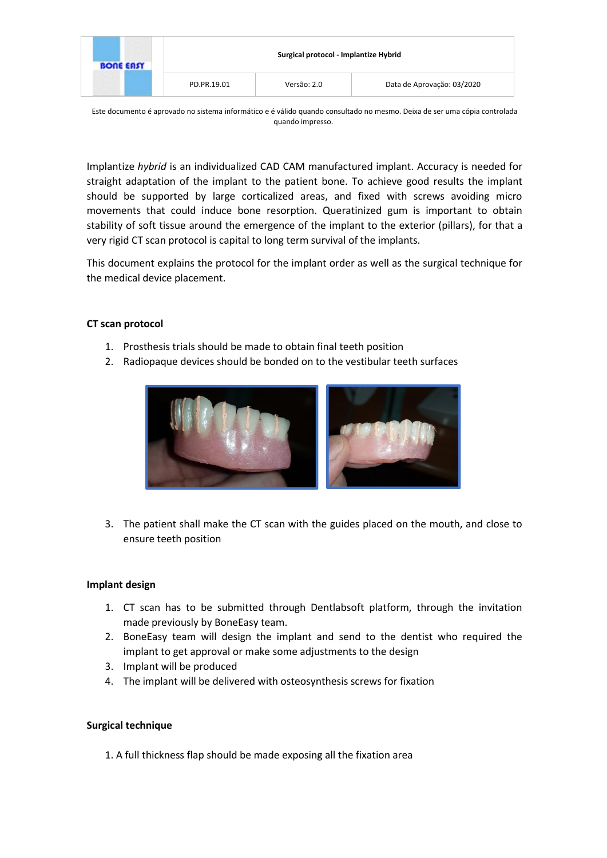| <b>BONE EASY</b> |             | Surgical protocol - Implantize Hybrid |                            |  |
|------------------|-------------|---------------------------------------|----------------------------|--|
|                  | PD.PR.19.01 | Versão: 2.0                           | Data de Aprovação: 03/2020 |  |

Este documento é aprovado no sistema informático e é válido quando consultado no mesmo. Deixa de ser uma cópia controlada quando impresso.

Implantize *hybrid* is an individualized CAD CAM manufactured implant. Accuracy is needed for straight adaptation of the implant to the patient bone. To achieve good results the implant should be supported by large corticalized areas, and fixed with screws avoiding micro movements that could induce bone resorption. Queratinized gum is important to obtain stability of soft tissue around the emergence of the implant to the exterior (pillars), for that a very rigid CT scan protocol is capital to long term survival of the implants.

This document explains the protocol for the implant order as well as the surgical technique for the medical device placement.

## **CT scan protocol**

- 1. Prosthesis trials should be made to obtain final teeth position
- 2. Radiopaque devices should be bonded on to the vestibular teeth surfaces



3. The patient shall make the CT scan with the guides placed on the mouth, and close to ensure teeth position

## **Implant design**

- 1. CT scan has to be submitted through Dentlabsoft platform, through the invitation made previously by BoneEasy team.
- 2. BoneEasy team will design the implant and send to the dentist who required the implant to get approval or make some adjustments to the design
- 3. Implant will be produced
- 4. The implant will be delivered with osteosynthesis screws for fixation

## **Surgical technique**

1. A full thickness flap should be made exposing all the fixation area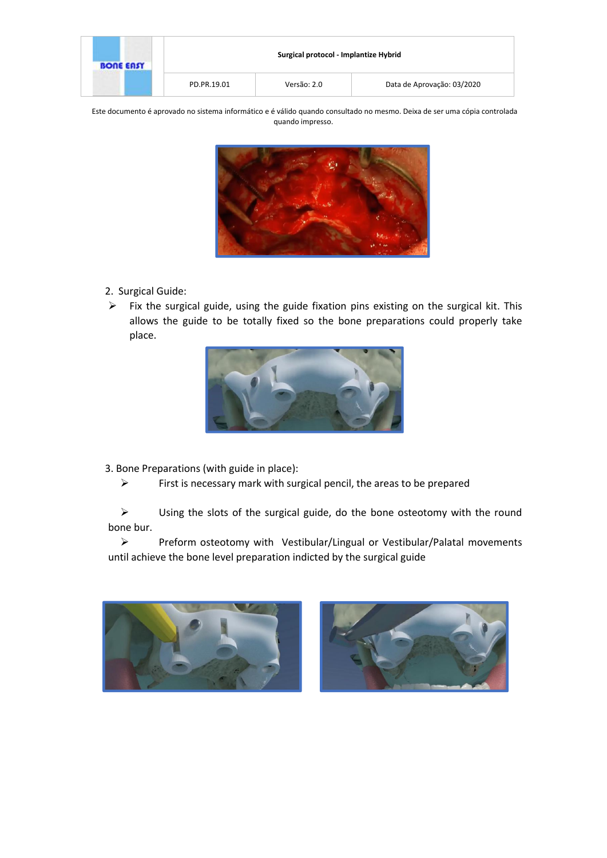| <b>BONE EASY</b> | Surgical protocol - Implantize Hybrid |             |                            |
|------------------|---------------------------------------|-------------|----------------------------|
|                  | PD.PR.19.01                           | Versão: 2.0 | Data de Aprovação: 03/2020 |

Este documento é aprovado no sistema informático e é válido quando consultado no mesmo. Deixa de ser uma cópia controlada quando impresso.



- 2. Surgical Guide:
- $\triangleright$  Fix the surgical guide, using the guide fixation pins existing on the surgical kit. This allows the guide to be totally fixed so the bone preparations could properly take place.



3. Bone Preparations (with guide in place):

 $\triangleright$  First is necessary mark with surgical pencil, the areas to be prepared

 $\triangleright$  Using the slots of the surgical guide, do the bone osteotomy with the round bone bur.

Preform osteotomy with Vestibular/Lingual or Vestibular/Palatal movements until achieve the bone level preparation indicted by the surgical guide



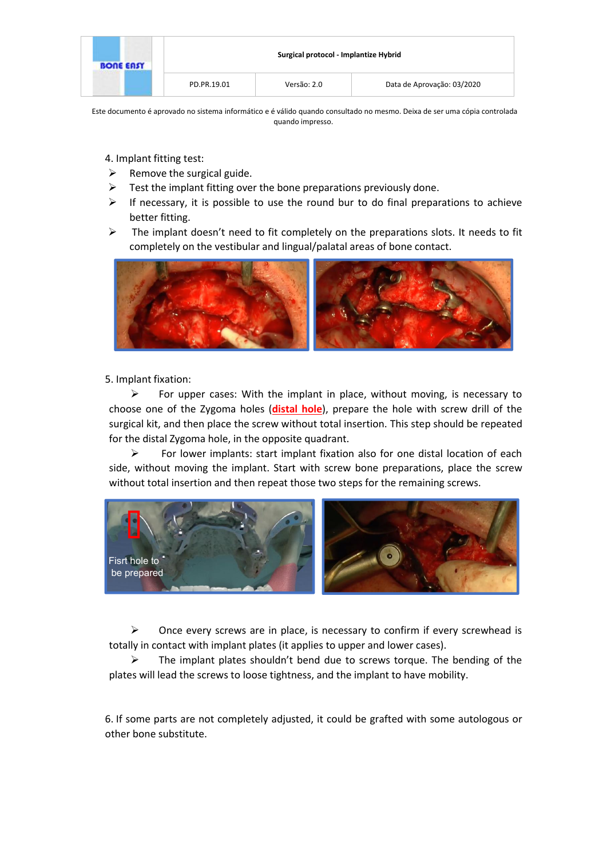| <b>BONE EASY</b> |             | Surgical protocol - Implantize Hybrid |                            |  |
|------------------|-------------|---------------------------------------|----------------------------|--|
|                  | PD.PR.19.01 | Versão: 2.0                           | Data de Aprovação: 03/2020 |  |

Este documento é aprovado no sistema informático e é válido quando consultado no mesmo. Deixa de ser uma cópia controlada quando impresso.

4. Implant fitting test:

- $\triangleright$  Remove the surgical guide.
- $\triangleright$  Test the implant fitting over the bone preparations previously done.
- $\triangleright$  If necessary, it is possible to use the round bur to do final preparations to achieve better fitting.
- $\triangleright$  The implant doesn't need to fit completely on the preparations slots. It needs to fit completely on the vestibular and lingual/palatal areas of bone contact.



5. Implant fixation:

For upper cases: With the implant in place, without moving, is necessary to choose one of the Zygoma holes (**distal hole**), prepare the hole with screw drill of the surgical kit, and then place the screw without total insertion. This step should be repeated for the distal Zygoma hole, in the opposite quadrant.

 $\triangleright$  For lower implants: start implant fixation also for one distal location of each side, without moving the implant. Start with screw bone preparations, place the screw without total insertion and then repeat those two steps for the remaining screws.



 $\triangleright$  Once every screws are in place, is necessary to confirm if every screwhead is totally in contact with implant plates (it applies to upper and lower cases).

 $\triangleright$  The implant plates shouldn't bend due to screws torque. The bending of the plates will lead the screws to loose tightness, and the implant to have mobility.

6. If some parts are not completely adjusted, it could be grafted with some autologous or other bone substitute.